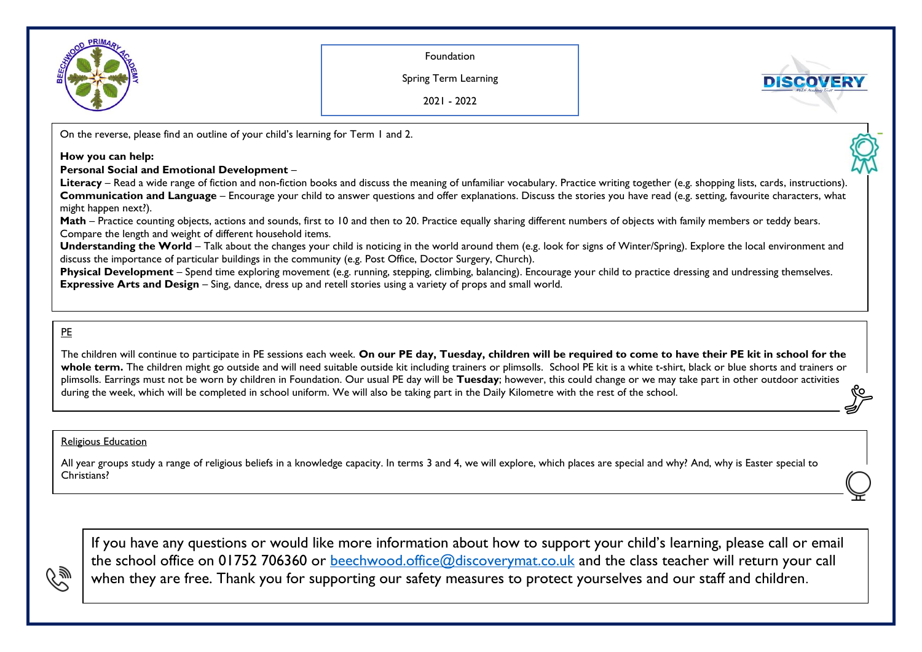

Foundation

Spring Term Learning



2021 - 2022

On the reverse, please find an outline of your child's learning for Term 1 and 2.

## **How you can help:**

## **Personal Social and Emotional Development** –

**Literacy** – Read a wide range of fiction and non-fiction books and discuss the meaning of unfamiliar vocabulary. Practice writing together (e.g. shopping lists, cards, instructions). **Communication and Language** – Encourage your child to answer questions and offer explanations. Discuss the stories you have read (e.g. setting, favourite characters, what might happen next?).

Math – Practice counting objects, actions and sounds, first to 10 and then to 20. Practice equally sharing different numbers of objects with family members or teddy bears. Compare the length and weight of different household items.

**Understanding the World** – Talk about the changes your child is noticing in the world around them (e.g. look for signs of Winter/Spring). Explore the local environment and discuss the importance of particular buildings in the community (e.g. Post Office, Doctor Surgery, Church).

**Physical Development** – Spend time exploring movement (e.g. running, stepping, climbing, balancing). Encourage your child to practice dressing and undressing themselves. **Expressive Arts and Design** – Sing, dance, dress up and retell stories using a variety of props and small world.

## PE

The children will continue to participate in PE sessions each week. On our PE day, Tuesday, children will be required to come to have their PE kit in school for the whole term. The children might go outside and will need suitable outside kit including trainers or plimsolls. School PE kit is a white t-shirt, black or blue shorts and trainers or plimsolls. Earrings must not be worn by children in Foundation. Our usual PE day will be **Tuesday**; however, this could change or we may take part in other outdoor activities during the week, which will be completed in school uniform. We will also be taking part in the Daily Kilometre with the rest of the school.

## **Religious Education**

All year groups study a range of religious beliefs in a knowledge capacity. In terms 3 and 4, we will explore, which places are special and why? And, why is Easter special to Christians?

If you have any questions or would like more information about how to support your child's learning, please call or email the school office on 01752 706360 or [beechwood.office@discoverymat.co.uk](mailto:beechwood.office@discoverymat.co.uk) and the class teacher will return your call when they are free. Thank you for supporting our safety measures to protect yourselves and our staff and children.